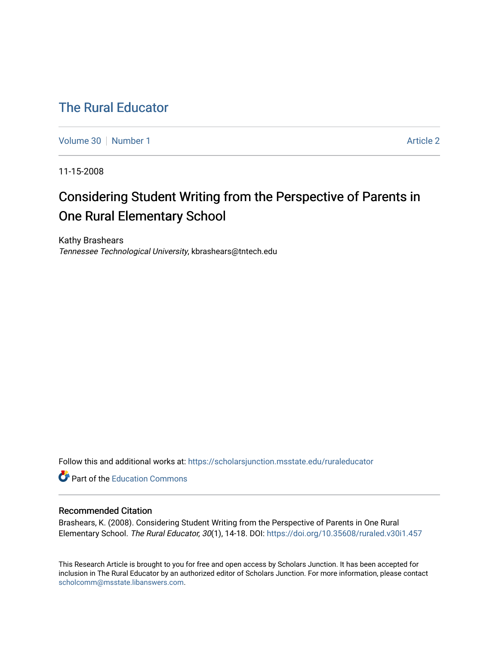# [The Rural Educator](https://scholarsjunction.msstate.edu/ruraleducator)

[Volume 30](https://scholarsjunction.msstate.edu/ruraleducator/vol30) [Number 1](https://scholarsjunction.msstate.edu/ruraleducator/vol30/iss1) Article 2

11-15-2008

# Considering Student Writing from the Perspective of Parents in One Rural Elementary School

Kathy Brashears Tennessee Technological University, kbrashears@tntech.edu

Follow this and additional works at: [https://scholarsjunction.msstate.edu/ruraleducator](https://scholarsjunction.msstate.edu/ruraleducator?utm_source=scholarsjunction.msstate.edu%2Fruraleducator%2Fvol30%2Fiss1%2F2&utm_medium=PDF&utm_campaign=PDFCoverPages)

**Part of the [Education Commons](http://network.bepress.com/hgg/discipline/784?utm_source=scholarsjunction.msstate.edu%2Fruraleducator%2Fvol30%2Fiss1%2F2&utm_medium=PDF&utm_campaign=PDFCoverPages)** 

# Recommended Citation

Brashears, K. (2008). Considering Student Writing from the Perspective of Parents in One Rural Elementary School. The Rural Educator, 30(1), 14-18. DOI: <https://doi.org/10.35608/ruraled.v30i1.457>

This Research Article is brought to you for free and open access by Scholars Junction. It has been accepted for inclusion in The Rural Educator by an authorized editor of Scholars Junction. For more information, please contact [scholcomm@msstate.libanswers.com.](mailto:scholcomm@msstate.libanswers.com)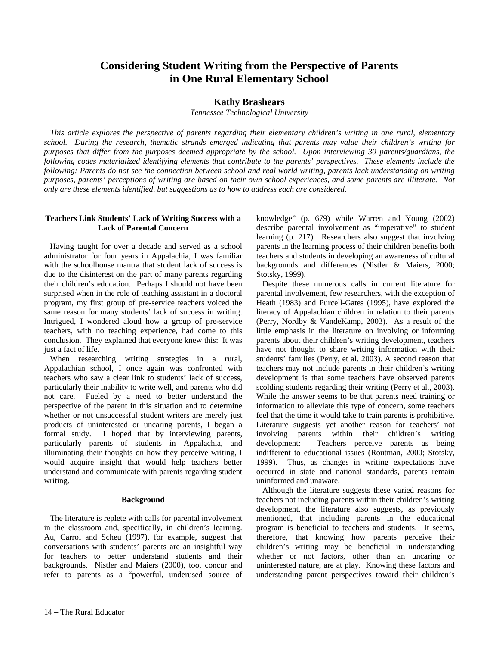# **Considering Student Writing from the Perspective of Parents in One Rural Elementary School**

# **Kathy Brashears**

*Tennessee Technological University*

 *This article explores the perspective of parents regarding their elementary children's writing in one rural, elementary school. During the research, thematic strands emerged indicating that parents may value their children's writing for purposes that differ from the purposes deemed appropriate by the school. Upon interviewing 30 parents/guardians, the following codes materialized identifying elements that contribute to the parents' perspectives. These elements include the following: Parents do not see the connection between school and real world writing, parents lack understanding on writing purposes, parents' perceptions of writing are based on their own school experiences, and some parents are illiterate. Not only are these elements identified, but suggestions as to how to address each are considered.* 

# **Teachers Link Students' Lack of Writing Success with a Lack of Parental Concern**

 Having taught for over a decade and served as a school administrator for four years in Appalachia, I was familiar with the schoolhouse mantra that student lack of success is due to the disinterest on the part of many parents regarding their children's education. Perhaps I should not have been surprised when in the role of teaching assistant in a doctoral program, my first group of pre-service teachers voiced the same reason for many students' lack of success in writing. Intrigued, I wondered aloud how a group of pre-service teachers, with no teaching experience, had come to this conclusion. They explained that everyone knew this: It was just a fact of life.

 When researching writing strategies in a rural, Appalachian school, I once again was confronted with teachers who saw a clear link to students' lack of success, particularly their inability to write well, and parents who did not care. Fueled by a need to better understand the perspective of the parent in this situation and to determine whether or not unsuccessful student writers are merely just products of uninterested or uncaring parents, I began a formal study. I hoped that by interviewing parents, particularly parents of students in Appalachia, and illuminating their thoughts on how they perceive writing, I would acquire insight that would help teachers better understand and communicate with parents regarding student writing.

#### **Background**

 The literature is replete with calls for parental involvement in the classroom and, specifically, in children's learning. Au, Carrol and Scheu (1997), for example, suggest that conversations with students' parents are an insightful way for teachers to better understand students and their backgrounds. Nistler and Maiers (2000), too, concur and refer to parents as a "powerful, underused source of knowledge" (p. 679) while Warren and Young (2002) describe parental involvement as "imperative" to student learning (p. 217). Researchers also suggest that involving parents in the learning process of their children benefits both teachers and students in developing an awareness of cultural backgrounds and differences (Nistler & Maiers, 2000; Stotsky, 1999).

 Despite these numerous calls in current literature for parental involvement, few researchers, with the exception of Heath (1983) and Purcell-Gates (1995), have explored the literacy of Appalachian children in relation to their parents (Perry, Nordby & VandeKamp, 2003). As a result of the little emphasis in the literature on involving or informing parents about their children's writing development, teachers have not thought to share writing information with their students' families (Perry, et al. 2003). A second reason that teachers may not include parents in their children's writing development is that some teachers have observed parents scolding students regarding their writing (Perry et al., 2003). While the answer seems to be that parents need training or information to alleviate this type of concern, some teachers feel that the time it would take to train parents is prohibitive. Literature suggests yet another reason for teachers' not involving parents within their children's writing development: Teachers perceive parents as being indifferent to educational issues (Routman, 2000; Stotsky, 1999). Thus, as changes in writing expectations have occurred in state and national standards, parents remain uninformed and unaware.

 Although the literature suggests these varied reasons for teachers not including parents within their children's writing development, the literature also suggests, as previously mentioned, that including parents in the educational program is beneficial to teachers and students. It seems, therefore, that knowing how parents perceive their children's writing may be beneficial in understanding whether or not factors, other than an uncaring or uninterested nature, are at play. Knowing these factors and understanding parent perspectives toward their children's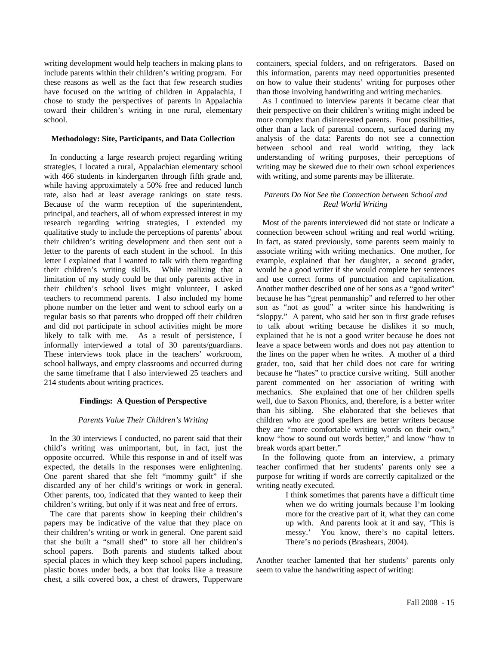writing development would help teachers in making plans to include parents within their children's writing program. For these reasons as well as the fact that few research studies have focused on the writing of children in Appalachia, I chose to study the perspectives of parents in Appalachia toward their children's writing in one rural, elementary school.

### **Methodology: Site, Participants, and Data Collection**

 In conducting a large research project regarding writing strategies, I located a rural, Appalachian elementary school with 466 students in kindergarten through fifth grade and, while having approximately a 50% free and reduced lunch rate, also had at least average rankings on state tests. Because of the warm reception of the superintendent, principal, and teachers, all of whom expressed interest in my research regarding writing strategies, I extended my qualitative study to include the perceptions of parents' about their children's writing development and then sent out a letter to the parents of each student in the school. In this letter I explained that I wanted to talk with them regarding their children's writing skills. While realizing that a limitation of my study could be that only parents active in their children's school lives might volunteer, I asked teachers to recommend parents. I also included my home phone number on the letter and went to school early on a regular basis so that parents who dropped off their children and did not participate in school activities might be more likely to talk with me. As a result of persistence, I informally interviewed a total of 30 parents/guardians. These interviews took place in the teachers' workroom, school hallways, and empty classrooms and occurred during the same timeframe that I also interviewed 25 teachers and 214 students about writing practices.

#### **Findings: A Question of Perspective**

#### *Parents Value Their Children's Writing*

 In the 30 interviews I conducted, no parent said that their child's writing was unimportant, but, in fact, just the opposite occurred. While this response in and of itself was expected, the details in the responses were enlightening. One parent shared that she felt "mommy guilt" if she discarded any of her child's writings or work in general. Other parents, too, indicated that they wanted to keep their children's writing, but only if it was neat and free of errors.

 The care that parents show in keeping their children's papers may be indicative of the value that they place on their children's writing or work in general. One parent said that she built a "small shed" to store all her children's school papers. Both parents and students talked about special places in which they keep school papers including, plastic boxes under beds, a box that looks like a treasure chest, a silk covered box, a chest of drawers, Tupperware

containers, special folders, and on refrigerators. Based on this information, parents may need opportunities presented on how to value their students' writing for purposes other than those involving handwriting and writing mechanics.

 As I continued to interview parents it became clear that their perspective on their children's writing might indeed be more complex than disinterested parents. Four possibilities, other than a lack of parental concern, surfaced during my analysis of the data: Parents do not see a connection between school and real world writing, they lack understanding of writing purposes, their perceptions of writing may be skewed due to their own school experiences with writing, and some parents may be illiterate.

#### *Parents Do Not See the Connection between School and Real World Writing*

 Most of the parents interviewed did not state or indicate a connection between school writing and real world writing. In fact, as stated previously, some parents seem mainly to associate writing with writing mechanics. One mother, for example, explained that her daughter, a second grader, would be a good writer if she would complete her sentences and use correct forms of punctuation and capitalization. Another mother described one of her sons as a "good writer" because he has "great penmanship" and referred to her other son as "not as good" a writer since his handwriting is "sloppy." A parent, who said her son in first grade refuses to talk about writing because he dislikes it so much, explained that he is not a good writer because he does not leave a space between words and does not pay attention to the lines on the paper when he writes. A mother of a third grader, too, said that her child does not care for writing because he "hates" to practice cursive writing. Still another parent commented on her association of writing with mechanics. She explained that one of her children spells well, due to Saxon Phonics, and, therefore, is a better writer than his sibling. She elaborated that she believes that children who are good spellers are better writers because they are "more comfortable writing words on their own," know "how to sound out words better," and know "how to break words apart better."

 In the following quote from an interview, a primary teacher confirmed that her students' parents only see a purpose for writing if words are correctly capitalized or the writing neatly executed.

> I think sometimes that parents have a difficult time when we do writing journals because I'm looking more for the creative part of it, what they can come up with. And parents look at it and say, 'This is messy.' You know, there's no capital letters. There's no periods (Brashears, 2004).

Another teacher lamented that her students' parents only seem to value the handwriting aspect of writing: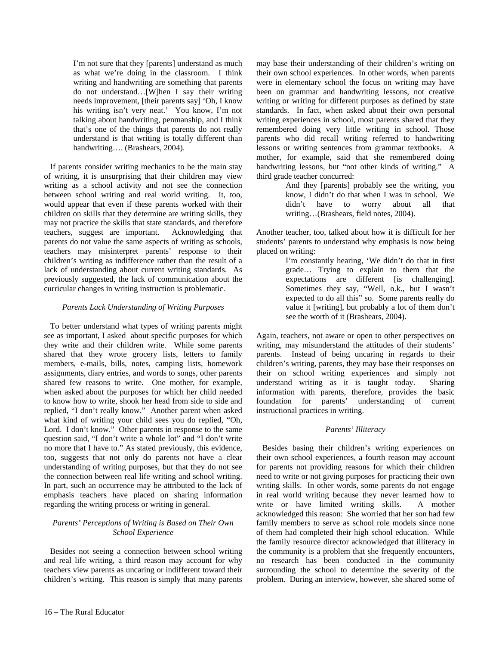I'm not sure that they [parents] understand as much as what we're doing in the classroom. I think writing and handwriting are something that parents do not understand…[W]hen I say their writing needs improvement, [their parents say] 'Oh, I know his writing isn't very neat.' You know, I'm not talking about handwriting, penmanship, and I think that's one of the things that parents do not really understand is that writing is totally different than handwriting…. (Brashears, 2004).

 If parents consider writing mechanics to be the main stay of writing, it is unsurprising that their children may view writing as a school activity and not see the connection between school writing and real world writing. It, too, would appear that even if these parents worked with their children on skills that they determine are writing skills, they may not practice the skills that state standards, and therefore teachers, suggest are important. Acknowledging that parents do not value the same aspects of writing as schools, teachers may misinterpret parents' response to their children's writing as indifference rather than the result of a lack of understanding about current writing standards. As previously suggested, the lack of communication about the curricular changes in writing instruction is problematic.

## *Parents Lack Understanding of Writing Purposes*

 To better understand what types of writing parents might see as important, I asked about specific purposes for which they write and their children write. While some parents shared that they wrote grocery lists, letters to family members, e-mails, bills, notes, camping lists, homework assignments, diary entries, and words to songs, other parents shared few reasons to write. One mother, for example, when asked about the purposes for which her child needed to know how to write, shook her head from side to side and replied, "I don't really know." Another parent when asked what kind of writing your child sees you do replied, "Oh, Lord. I don't know." Other parents in response to the same question said, "I don't write a whole lot" and "I don't write no more that I have to." As stated previously, this evidence, too, suggests that not only do parents not have a clear understanding of writing purposes, but that they do not see the connection between real life writing and school writing. In part, such an occurrence may be attributed to the lack of emphasis teachers have placed on sharing information regarding the writing process or writing in general.

## *Parents' Perceptions of Writing is Based on Their Own School Experience*

 Besides not seeing a connection between school writing and real life writing, a third reason may account for why teachers view parents as uncaring or indifferent toward their children's writing. This reason is simply that many parents may base their understanding of their children's writing on their own school experiences. In other words, when parents were in elementary school the focus on writing may have been on grammar and handwriting lessons, not creative writing or writing for different purposes as defined by state standards. In fact, when asked about their own personal writing experiences in school, most parents shared that they remembered doing very little writing in school. Those parents who did recall writing referred to handwriting lessons or writing sentences from grammar textbooks. A mother, for example, said that she remembered doing handwriting lessons, but "not other kinds of writing." A third grade teacher concurred:

> And they [parents] probably see the writing, you know, I didn't do that when I was in school. We didn't have to worry about all that writing…(Brashears, field notes, 2004).

Another teacher, too, talked about how it is difficult for her students' parents to understand why emphasis is now being placed on writing:

> I'm constantly hearing, 'We didn't do that in first grade… Trying to explain to them that the expectations are different [is challenging]. Sometimes they say, "Well, o.k., but I wasn't expected to do all this" so. Some parents really do value it [writing], but probably a lot of them don't see the worth of it (Brashears, 2004).

Again, teachers, not aware or open to other perspectives on writing, may misunderstand the attitudes of their students' parents. Instead of being uncaring in regards to their children's writing, parents, they may base their responses on their on school writing experiences and simply not understand writing as it is taught today. Sharing information with parents, therefore, provides the basic foundation for parents' understanding of current instructional practices in writing.

# *Parents' Illiteracy*

 Besides basing their children's writing experiences on their own school experiences, a fourth reason may account for parents not providing reasons for which their children need to write or not giving purposes for practicing their own writing skills. In other words, some parents do not engage in real world writing because they never learned how to write or have limited writing skills. A mother acknowledged this reason: She worried that her son had few family members to serve as school role models since none of them had completed their high school education. While the family resource director acknowledged that illiteracy in the community is a problem that she frequently encounters, no research has been conducted in the community surrounding the school to determine the severity of the problem. During an interview, however, she shared some of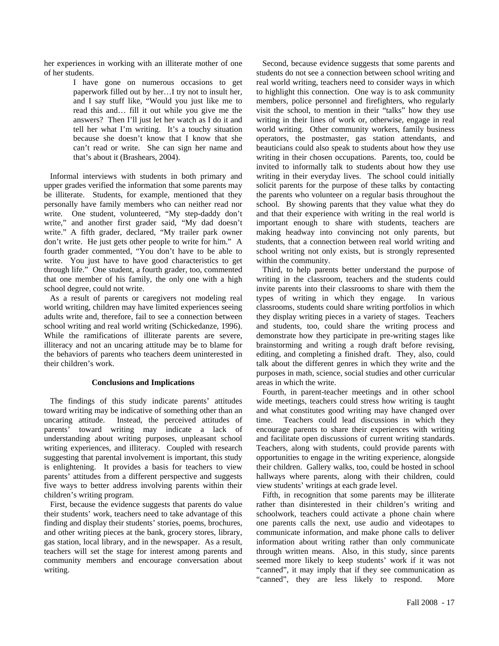her experiences in working with an illiterate mother of one of her students.

> I have gone on numerous occasions to get paperwork filled out by her…I try not to insult her, and I say stuff like, "Would you just like me to read this and… fill it out while you give me the answers? Then I'll just let her watch as I do it and tell her what I'm writing. It's a touchy situation because she doesn't know that I know that she can't read or write. She can sign her name and that's about it (Brashears, 2004).

 Informal interviews with students in both primary and upper grades verified the information that some parents may be illiterate. Students, for example, mentioned that they personally have family members who can neither read nor write. One student, volunteered, "My step-daddy don't write," and another first grader said, "My dad doesn't write." A fifth grader, declared, "My trailer park owner don't write. He just gets other people to write for him." A fourth grader commented, "You don't have to be able to write. You just have to have good characteristics to get through life." One student, a fourth grader, too, commented that one member of his family, the only one with a high school degree, could not write.

 As a result of parents or caregivers not modeling real world writing, children may have limited experiences seeing adults write and, therefore, fail to see a connection between school writing and real world writing (Schickedanze, 1996). While the ramifications of illiterate parents are severe, illiteracy and not an uncaring attitude may be to blame for the behaviors of parents who teachers deem uninterested in their children's work.

#### **Conclusions and Implications**

 The findings of this study indicate parents' attitudes toward writing may be indicative of something other than an uncaring attitude. Instead, the perceived attitudes of parents' toward writing may indicate a lack of understanding about writing purposes, unpleasant school writing experiences, and illiteracy. Coupled with research suggesting that parental involvement is important, this study is enlightening. It provides a basis for teachers to view parents' attitudes from a different perspective and suggests five ways to better address involving parents within their children's writing program.

 First, because the evidence suggests that parents do value their students' work, teachers need to take advantage of this finding and display their students' stories, poems, brochures, and other writing pieces at the bank, grocery stores, library, gas station, local library, and in the newspaper. As a result, teachers will set the stage for interest among parents and community members and encourage conversation about writing.

 Second, because evidence suggests that some parents and students do not see a connection between school writing and real world writing, teachers need to consider ways in which to highlight this connection. One way is to ask community members, police personnel and firefighters, who regularly visit the school, to mention in their "talks" how they use writing in their lines of work or, otherwise, engage in real world writing. Other community workers, family business operators, the postmaster, gas station attendants, and beauticians could also speak to students about how they use writing in their chosen occupations. Parents, too, could be invited to informally talk to students about how they use writing in their everyday lives. The school could initially solicit parents for the purpose of these talks by contacting the parents who volunteer on a regular basis throughout the school. By showing parents that they value what they do and that their experience with writing in the real world is important enough to share with students, teachers are making headway into convincing not only parents, but students, that a connection between real world writing and school writing not only exists, but is strongly represented within the community.

 Third, to help parents better understand the purpose of writing in the classroom, teachers and the students could invite parents into their classrooms to share with them the types of writing in which they engage. In various classrooms, students could share writing portfolios in which they display writing pieces in a variety of stages. Teachers and students, too, could share the writing process and demonstrate how they participate in pre-writing stages like brainstorming and writing a rough draft before revising, editing, and completing a finished draft. They, also, could talk about the different genres in which they write and the purposes in math, science, social studies and other curricular areas in which the write.

 Fourth, in parent-teacher meetings and in other school wide meetings, teachers could stress how writing is taught and what constitutes good writing may have changed over time. Teachers could lead discussions in which they encourage parents to share their experiences with writing and facilitate open discussions of current writing standards. Teachers, along with students, could provide parents with opportunities to engage in the writing experience, alongside their children. Gallery walks, too, could be hosted in school hallways where parents, along with their children, could view students' writings at each grade level.

 Fifth, in recognition that some parents may be illiterate rather than disinterested in their children's writing and schoolwork, teachers could activate a phone chain where one parents calls the next, use audio and videotapes to communicate information, and make phone calls to deliver information about writing rather than only communicate through written means. Also, in this study, since parents seemed more likely to keep students' work if it was not "canned", it may imply that if they see communication as "canned", they are less likely to respond. More